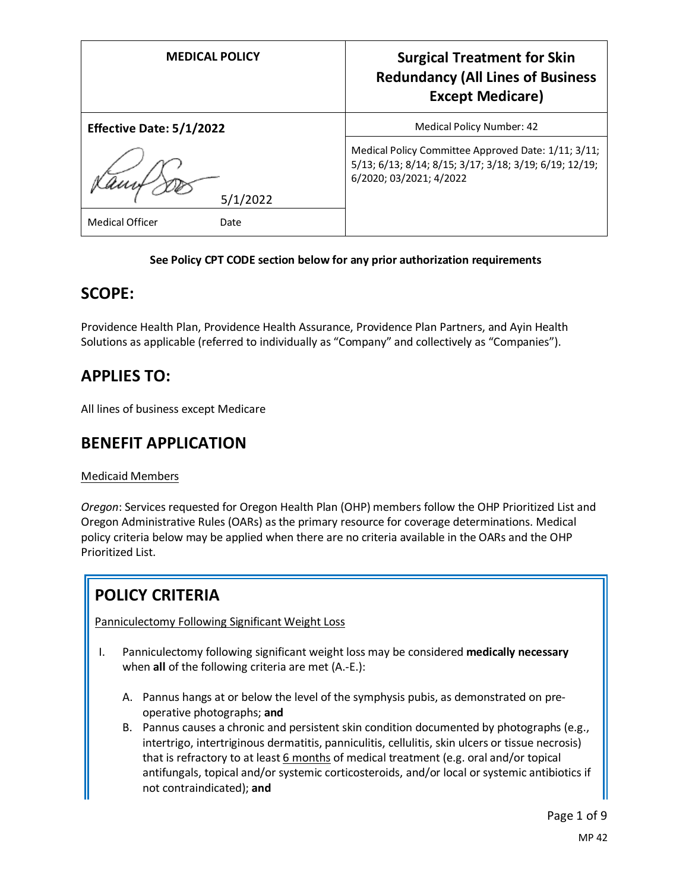| <b>MEDICAL POLICY</b>           | <b>Surgical Treatment for Skin</b><br><b>Redundancy (All Lines of Business</b><br><b>Except Medicare)</b>                                |
|---------------------------------|------------------------------------------------------------------------------------------------------------------------------------------|
| <b>Effective Date: 5/1/2022</b> | Medical Policy Number: 42                                                                                                                |
| 5/1/2022                        | Medical Policy Committee Approved Date: 1/11; 3/11;<br>5/13; 6/13; 8/14; 8/15; 3/17; 3/18; 3/19; 6/19; 12/19;<br>6/2020; 03/2021; 4/2022 |
| <b>Medical Officer</b><br>Date  |                                                                                                                                          |

## **See Policy CPT CODE section below for any prior authorization requirements**

## **SCOPE:**

Providence Health Plan, Providence Health Assurance, Providence Plan Partners, and Ayin Health Solutions as applicable (referred to individually as "Company" and collectively as "Companies").

# **APPLIES TO:**

All lines of business except Medicare

# **BENEFIT APPLICATION**

## Medicaid Members

*Oregon*: Services requested for Oregon Health Plan (OHP) members follow the OHP Prioritized List and Oregon Administrative Rules (OARs) as the primary resource for coverage determinations. Medical policy criteria below may be applied when there are no criteria available in the OARs and the OHP Prioritized List.

# **POLICY CRITERIA**

Panniculectomy Following Significant Weight Loss

- I. Panniculectomy following significant weight loss may be considered **medically necessary**  when **all** of the following criteria are met (A.-E.):
	- A. Pannus hangs at or below the level of the symphysis pubis, as demonstrated on preoperative photographs; **and**
	- B. Pannus causes a chronic and persistent skin condition documented by photographs (e.g., intertrigo, intertriginous dermatitis, panniculitis, cellulitis, skin ulcers or tissue necrosis) that is refractory to at least  $6$  months of medical treatment (e.g. oral and/or topical antifungals, topical and/or systemic corticosteroids, and/or local or systemic antibiotics if not contraindicated); **and**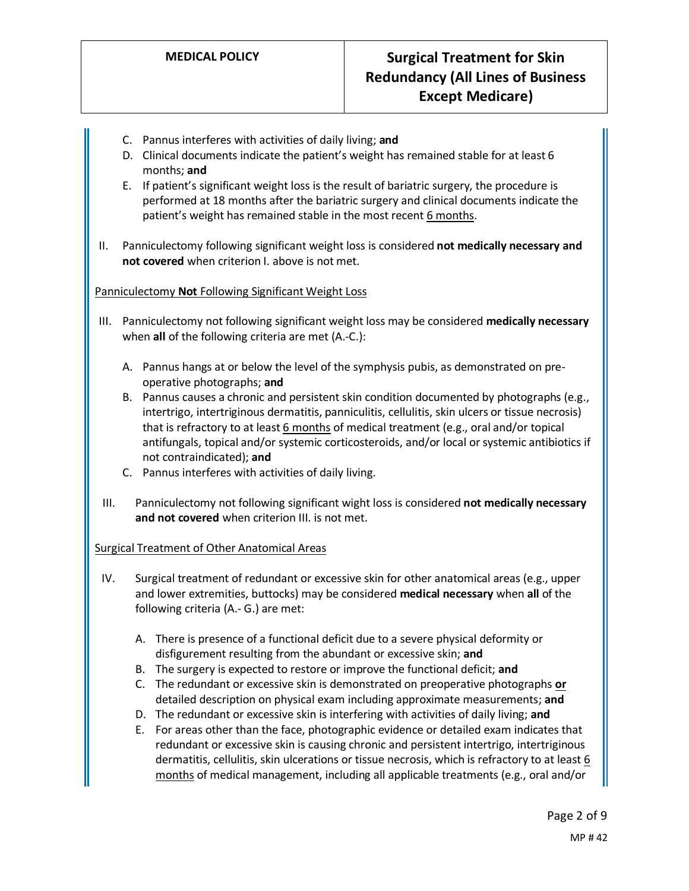# **MEDICAL POLICY Surgical Treatment for Skin Redundancy (All Lines of Business Except Medicare)**

- C. Pannus interferes with activities of daily living; **and**
- D. Clinical documents indicate the patient's weight has remained stable for at least 6 months; **and**
- E. If patient's significant weight loss is the result of bariatric surgery, the procedure is performed at 18 months after the bariatric surgery and clinical documents indicate the patient's weight has remained stable in the most recent 6 months.
- II. Panniculectomy following significant weight loss is considered **not medically necessary and not covered** when criterion I. above is not met.

#### Panniculectomy **Not** Following Significant Weight Loss

- III. Panniculectomy not following significant weight loss may be considered **medically necessary**  when **all** of the following criteria are met (A.-C.):
	- A. Pannus hangs at or below the level of the symphysis pubis, as demonstrated on preoperative photographs; **and**
	- B. Pannus causes a chronic and persistent skin condition documented by photographs (e.g., intertrigo, intertriginous dermatitis, panniculitis, cellulitis, skin ulcers or tissue necrosis) that is refractory to at least 6 months of medical treatment (e.g., oral and/or topical antifungals, topical and/or systemic corticosteroids, and/or local or systemic antibiotics if not contraindicated); **and**
	- C. Pannus interferes with activities of daily living.
- III. Panniculectomy not following significant wight loss is considered **not medically necessary and not covered** when criterion III. is not met.

#### Surgical Treatment of Other Anatomical Areas

- IV. Surgical treatment of redundant or excessive skin for other anatomical areas (e.g., upper and lower extremities, buttocks) may be considered **medical necessary** when **all** of the following criteria (A.- G.) are met:
	- A. There is presence of a functional deficit due to a severe physical deformity or disfigurement resulting from the abundant or excessive skin; **and**
	- B. The surgery is expected to restore or improve the functional deficit; **and**
	- C. The redundant or excessive skin is demonstrated on preoperative photographs **or**  detailed description on physical exam including approximate measurements; **and**
	- D. The redundant or excessive skin is interfering with activities of daily living; **and**
	- E. For areas other than the face, photographic evidence or detailed exam indicates that redundant or excessive skin is causing chronic and persistent intertrigo, intertriginous dermatitis, cellulitis, skin ulcerations or tissue necrosis, which is refractory to at least 6 months of medical management, including all applicable treatments (e.g., oral and/or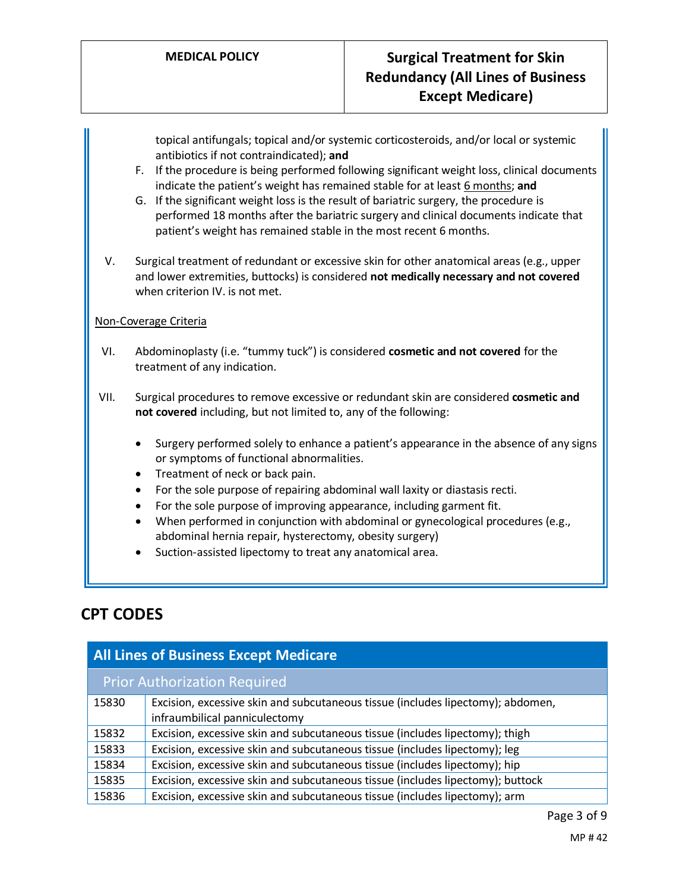topical antifungals; topical and/or systemic corticosteroids, and/or local or systemic antibiotics if not contraindicated); **and**

- F. If the procedure is being performed following significant weight loss, clinical documents indicate the patient's weight has remained stable for at least 6 months; **and**
- G. If the significant weight loss is the result of bariatric surgery, the procedure is performed 18 months after the bariatric surgery and clinical documents indicate that patient's weight has remained stable in the most recent 6 months.
- V. Surgical treatment of redundant or excessive skin for other anatomical areas (e.g., upper and lower extremities, buttocks) is considered **not medically necessary and not covered**  when criterion IV. is not met.

#### Non-Coverage Criteria

- VI. Abdominoplasty (i.e. "tummy tuck") is considered **cosmetic and not covered** for the treatment of any indication.
- VII. Surgical procedures to remove excessive or redundant skin are considered **cosmetic and not covered** including, but not limited to, any of the following:
	- Surgery performed solely to enhance a patient's appearance in the absence of any signs or symptoms of functional abnormalities.
	- Treatment of neck or back pain.
	- For the sole purpose of repairing abdominal wall laxity or diastasis recti.
	- For the sole purpose of improving appearance, including garment fit.
	- When performed in conjunction with abdominal or gynecological procedures (e.g., abdominal hernia repair, hysterectomy, obesity surgery)
	- Suction-assisted lipectomy to treat any anatomical area.

## **CPT CODES**

| <b>All Lines of Business Except Medicare</b> |                                                                                                                  |
|----------------------------------------------|------------------------------------------------------------------------------------------------------------------|
|                                              | <b>Prior Authorization Required</b>                                                                              |
| 15830                                        | Excision, excessive skin and subcutaneous tissue (includes lipectomy); abdomen,<br>infraumbilical panniculectomy |
| 15832                                        | Excision, excessive skin and subcutaneous tissue (includes lipectomy); thigh                                     |
| 15833                                        | Excision, excessive skin and subcutaneous tissue (includes lipectomy); leg                                       |
| 15834                                        | Excision, excessive skin and subcutaneous tissue (includes lipectomy); hip                                       |
| 15835                                        | Excision, excessive skin and subcutaneous tissue (includes lipectomy); buttock                                   |
| 15836                                        | Excision, excessive skin and subcutaneous tissue (includes lipectomy); arm                                       |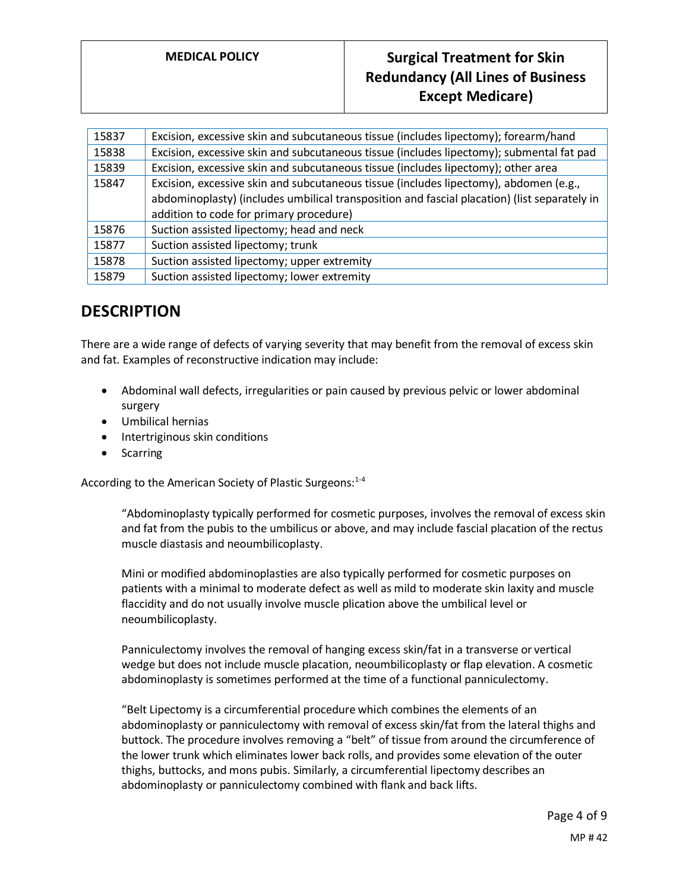## **MEDICAL POLICY Surgical Treatment for Skin Redundancy (All Lines of Business Except Medicare)**

| 15837 | Excision, excessive skin and subcutaneous tissue (includes lipectomy); forearm/hand          |
|-------|----------------------------------------------------------------------------------------------|
| 15838 | Excision, excessive skin and subcutaneous tissue (includes lipectomy); submental fat pad     |
| 15839 | Excision, excessive skin and subcutaneous tissue (includes lipectomy); other area            |
| 15847 | Excision, excessive skin and subcutaneous tissue (includes lipectomy), abdomen (e.g.,        |
|       | abdominoplasty) (includes umbilical transposition and fascial placation) (list separately in |
|       | addition to code for primary procedure)                                                      |
| 15876 | Suction assisted lipectomy; head and neck                                                    |
| 15877 | Suction assisted lipectomy; trunk                                                            |
| 15878 | Suction assisted lipectomy; upper extremity                                                  |
| 15879 | Suction assisted lipectomy; lower extremity                                                  |

## **DESCRIPTION**

There are a wide range of defects of varying severity that may benefit from the removal of excess skin and fat. Examples of reconstructive indication may include:

- Abdominal wall defects, irregularities or pain caused by previous pelvic or lower abdominal surgery
- Umbilical hernias
- Intertriginous skin conditions
- Scarring

According to the American Society of Plastic Surgeons:<sup>1-4</sup>

"Abdominoplasty typically performed for cosmetic purposes, involves the removal of excess skin and fat from the pubis to the umbilicus or above, and may include fascial placation of the rectus muscle diastasis and neoumbilicoplasty.

Mini or modified abdominoplasties are also typically performed for cosmetic purposes on patients with a minimal to moderate defect as well as mild to moderate skin laxity and muscle flaccidity and do not usually involve muscle plication above the umbilical level or neoumbilicoplasty.

Panniculectomy involves the removal of hanging excess skin/fat in a transverse or vertical wedge but does not include muscle placation, neoumbilicoplasty or flap elevation. A cosmetic abdominoplasty is sometimes performed at the time of a functional panniculectomy.

"Belt Lipectomy is a circumferential procedure which combines the elements of an abdominoplasty or panniculectomy with removal of excess skin/fat from the lateral thighs and buttock. The procedure involves removing a "belt" of tissue from around the circumference of the lower trunk which eliminates lower back rolls, and provides some elevation of the outer thighs, buttocks, and mons pubis. Similarly, a circumferential lipectomy describes an abdominoplasty or panniculectomy combined with flank and back lifts.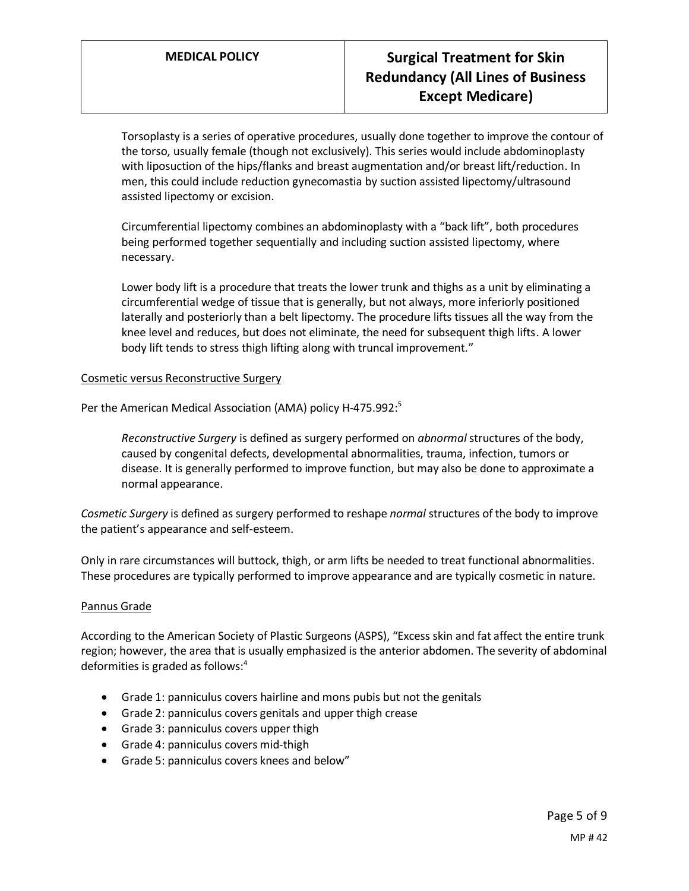# **MEDICAL POLICY Surgical Treatment for Skin Redundancy (All Lines of Business Except Medicare)**

Torsoplasty is a series of operative procedures, usually done together to improve the contour of the torso, usually female (though not exclusively). This series would include abdominoplasty with liposuction of the hips/flanks and breast augmentation and/or breast lift/reduction. In men, this could include reduction gynecomastia by suction assisted lipectomy/ultrasound assisted lipectomy or excision.

Circumferential lipectomy combines an abdominoplasty with a "back lift", both procedures being performed together sequentially and including suction assisted lipectomy, where necessary.

Lower body lift is a procedure that treats the lower trunk and thighs as a unit by eliminating a circumferential wedge of tissue that is generally, but not always, more inferiorly positioned laterally and posteriorly than a belt lipectomy. The procedure lifts tissues all the way from the knee level and reduces, but does not eliminate, the need for subsequent thigh lifts. A lower body lift tends to stress thigh lifting along with truncal improvement."

#### Cosmetic versus Reconstructive Surgery

Per the American Medical Association (AMA) policy H-475.992:<sup>5</sup>

*Reconstructive Surgery* is defined as surgery performed on *abnormal* structures of the body, caused by congenital defects, developmental abnormalities, trauma, infection, tumors or disease. It is generally performed to improve function, but may also be done to approximate a normal appearance.

*Cosmetic Surgery* is defined as surgery performed to reshape *normal* structures of the body to improve the patient's appearance and self-esteem.

Only in rare circumstances will buttock, thigh, or arm lifts be needed to treat functional abnormalities. These procedures are typically performed to improve appearance and are typically cosmetic in nature.

#### Pannus Grade

According to the American Society of Plastic Surgeons (ASPS), "Excess skin and fat affect the entire trunk region; however, the area that is usually emphasized is the anterior abdomen. The severity of abdominal deformities is graded as follows:<sup>4</sup>

- Grade 1: panniculus covers hairline and mons pubis but not the genitals
- Grade 2: panniculus covers genitals and upper thigh crease
- Grade 3: panniculus covers upper thigh
- Grade 4: panniculus covers mid-thigh
- Grade 5: panniculus covers knees and below"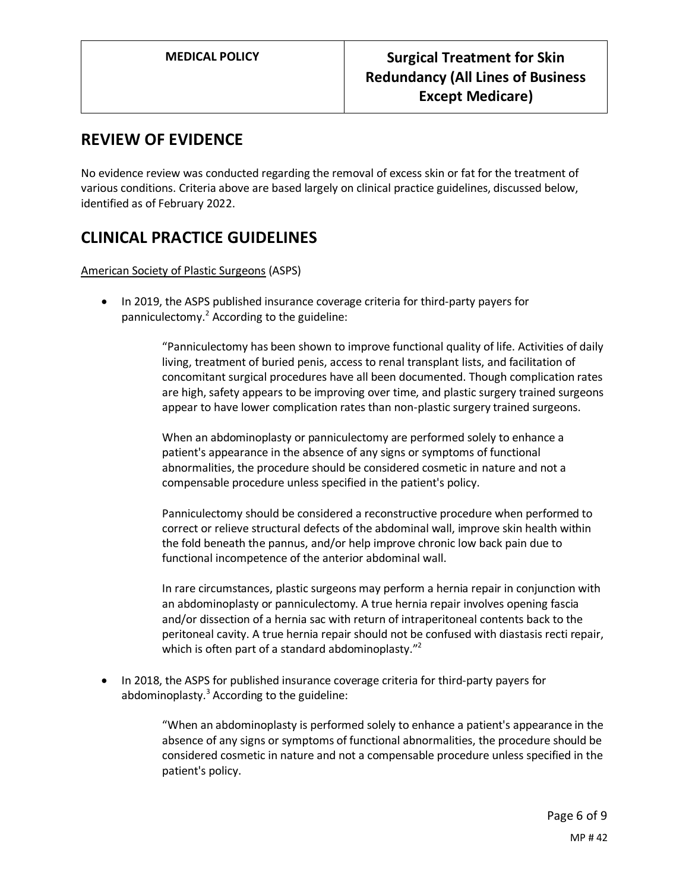## **REVIEW OF EVIDENCE**

No evidence review was conducted regarding the removal of excess skin or fat for the treatment of various conditions. Criteria above are based largely on clinical practice guidelines, discussed below, identified as of February 2022.

# **CLINICAL PRACTICE GUIDELINES**

American Society of Plastic Surgeons (ASPS)

• In 2019, the ASPS published insurance coverage criteria for third-party payers for panniculectomy. <sup>2</sup> According to the guideline:

> "Panniculectomy has been shown to improve functional quality of life. Activities of daily living, treatment of buried penis, access to renal transplant lists, and facilitation of concomitant surgical procedures have all been documented. Though complication rates are high, safety appears to be improving over time, and plastic surgery trained surgeons appear to have lower complication rates than non-plastic surgery trained surgeons.

When an abdominoplasty or panniculectomy are performed solely to enhance a patient's appearance in the absence of any signs or symptoms of functional abnormalities, the procedure should be considered cosmetic in nature and not a compensable procedure unless specified in the patient's policy.

Panniculectomy should be considered a reconstructive procedure when performed to correct or relieve structural defects of the abdominal wall, improve skin health within the fold beneath the pannus, and/or help improve chronic low back pain due to functional incompetence of the anterior abdominal wall.

In rare circumstances, plastic surgeons may perform a hernia repair in conjunction with an abdominoplasty or panniculectomy. A true hernia repair involves opening fascia and/or dissection of a hernia sac with return of intraperitoneal contents back to the peritoneal cavity. A true hernia repair should not be confused with diastasis recti repair, which is often part of a standard abdominoplasty."<sup>2</sup>

• In 2018, the ASPS for published insurance coverage criteria for third-party payers for abdominoplasty. $3$  According to the guideline:

> "When an abdominoplasty is performed solely to enhance a patient's appearance in the absence of any signs or symptoms of functional abnormalities, the procedure should be considered cosmetic in nature and not a compensable procedure unless specified in the patient's policy.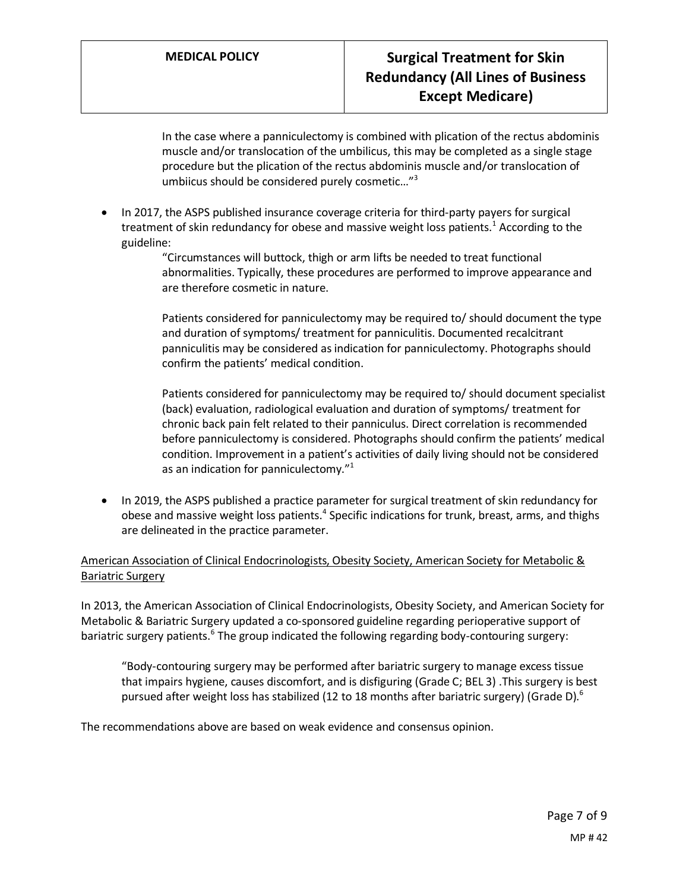In the case where a panniculectomy is combined with plication of the rectus abdominis muscle and/or translocation of the umbilicus, this may be completed as a single stage procedure but the plication of the rectus abdominis muscle and/or translocation of umbiicus should be considered purely cosmetic…"<sup>3</sup>

- In 2017, the ASPS published insurance coverage criteria for third-party payers for surgical treatment of skin redundancy for obese and massive weight loss patients.<sup>1</sup> According to the guideline:
	- "Circumstances will buttock, thigh or arm lifts be needed to treat functional abnormalities. Typically, these procedures are performed to improve appearance and are therefore cosmetic in nature.

Patients considered for panniculectomy may be required to/ should document the type and duration of symptoms/ treatment for panniculitis. Documented recalcitrant panniculitis may be considered as indication for panniculectomy. Photographs should confirm the patients' medical condition.

Patients considered for panniculectomy may be required to/ should document specialist (back) evaluation, radiological evaluation and duration of symptoms/ treatment for chronic back pain felt related to their panniculus. Direct correlation is recommended before panniculectomy is considered. Photographs should confirm the patients' medical condition. Improvement in a patient's activities of daily living should not be considered as an indication for panniculectomy."<sup>1</sup>

• In 2019, the ASPS published a practice parameter for surgical treatment of skin redundancy for obese and massive weight loss patients.<sup>4</sup> Specific indications for trunk, breast, arms, and thighs are delineated in the practice parameter.

## American Association of Clinical Endocrinologists, Obesity Society, American Society for Metabolic & Bariatric Surgery

In 2013, the American Association of Clinical Endocrinologists, Obesity Society, and American Society for Metabolic & Bariatric Surgery updated a co-sponsored guideline regarding perioperative support of bariatric surgery patients.<sup>6</sup> The group indicated the following regarding body-contouring surgery:

"Body-contouring surgery may be performed after bariatric surgery to manage excess tissue that impairs hygiene, causes discomfort, and is disfiguring (Grade C; BEL 3) .This surgery is best pursued after weight loss has stabilized (12 to 18 months after bariatric surgery) (Grade D).<sup>6</sup>

The recommendations above are based on weak evidence and consensus opinion.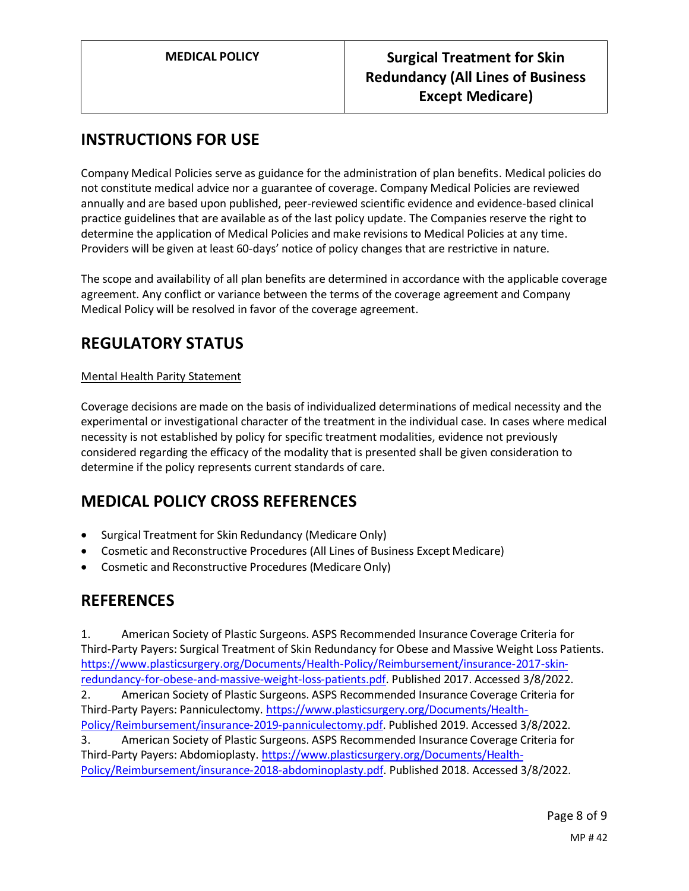# **INSTRUCTIONS FOR USE**

Company Medical Policies serve as guidance for the administration of plan benefits. Medical policies do not constitute medical advice nor a guarantee of coverage. Company Medical Policies are reviewed annually and are based upon published, peer-reviewed scientific evidence and evidence-based clinical practice guidelines that are available as of the last policy update. The Companies reserve the right to determine the application of Medical Policies and make revisions to Medical Policies at any time. Providers will be given at least 60-days' notice of policy changes that are restrictive in nature.

The scope and availability of all plan benefits are determined in accordance with the applicable coverage agreement. Any conflict or variance between the terms of the coverage agreement and Company Medical Policy will be resolved in favor of the coverage agreement.

# **REGULATORY STATUS**

## Mental Health Parity Statement

Coverage decisions are made on the basis of individualized determinations of medical necessity and the experimental or investigational character of the treatment in the individual case. In cases where medical necessity is not established by policy for specific treatment modalities, evidence not previously considered regarding the efficacy of the modality that is presented shall be given consideration to determine if the policy represents current standards of care.

## **MEDICAL POLICY CROSS REFERENCES**

- Surgical Treatment for Skin Redundancy (Medicare Only)
- Cosmetic and Reconstructive Procedures (All Lines of Business Except Medicare)
- Cosmetic and Reconstructive Procedures (Medicare Only)

## **REFERENCES**

1. American Society of Plastic Surgeons. ASPS Recommended Insurance Coverage Criteria for Third-Party Payers: Surgical Treatment of Skin Redundancy for Obese and Massive Weight Loss Patients. [https://www.plasticsurgery.org/Documents/Health-Policy/Reimbursement/insurance-2017-skin](https://www.plasticsurgery.org/Documents/Health-Policy/Reimbursement/insurance-2017-skin-redundancy-for-obese-and-massive-weight-loss-patients.pdf)[redundancy-for-obese-and-massive-weight-loss-patients.pdf.](https://www.plasticsurgery.org/Documents/Health-Policy/Reimbursement/insurance-2017-skin-redundancy-for-obese-and-massive-weight-loss-patients.pdf) Published 2017. Accessed 3/8/2022. 2. American Society of Plastic Surgeons. ASPS Recommended Insurance Coverage Criteria for Third-Party Payers: Panniculectomy. [https://www.plasticsurgery.org/Documents/Health-](https://www.plasticsurgery.org/Documents/Health-Policy/Reimbursement/insurance-2019-panniculectomy.pdf)[Policy/Reimbursement/insurance-2019-panniculectomy.pdf.](https://www.plasticsurgery.org/Documents/Health-Policy/Reimbursement/insurance-2019-panniculectomy.pdf) Published 2019. Accessed 3/8/2022. 3. American Society of Plastic Surgeons. ASPS Recommended Insurance Coverage Criteria for Third-Party Payers: Abdomioplasty[. https://www.plasticsurgery.org/Documents/Health-](https://www.plasticsurgery.org/Documents/Health-Policy/Reimbursement/insurance-2018-abdominoplasty.pdf)[Policy/Reimbursement/insurance-2018-abdominoplasty.pdf.](https://www.plasticsurgery.org/Documents/Health-Policy/Reimbursement/insurance-2018-abdominoplasty.pdf) Published 2018. Accessed 3/8/2022.